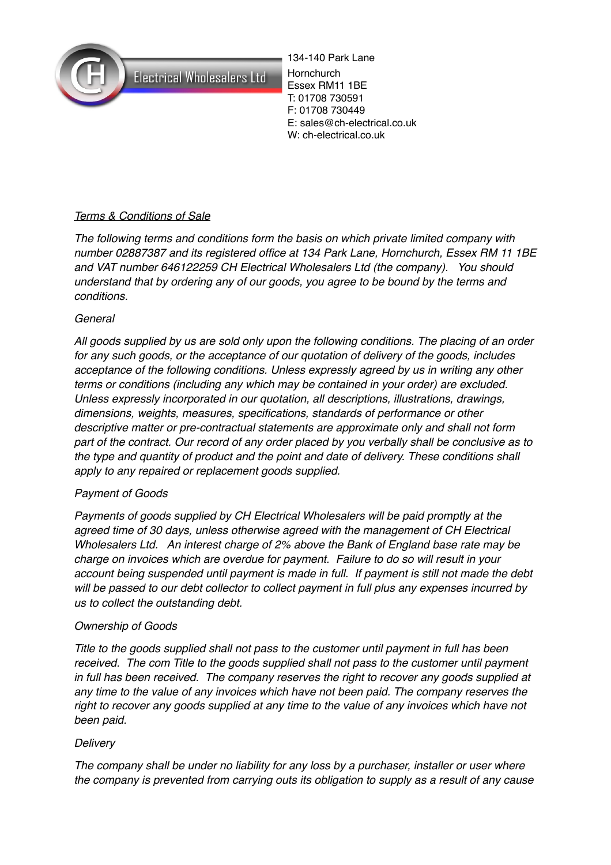

**Electrical Wholesalers Ltd** 

134-140 Park Lane **Hornchurch** Essex RM11 1BE T: 01708 730591 F: 01708 730449 E: sales@ch-electrical.co.uk W: ch-electrical.co.uk

# *Terms & Conditions of Sale*

*The following terms and conditions form the basis on which private limited company with number 02887387 and its registered office at 134 Park Lane, Hornchurch, Essex RM 11 1BE and VAT number 646122259 CH Electrical Wholesalers Ltd (the company). You should understand that by ordering any of our goods, you agree to be bound by the terms and conditions.*

## *General*

*All goods supplied by us are sold only upon the following conditions. The placing of an order for any such goods, or the acceptance of our quotation of delivery of the goods, includes acceptance of the following conditions. Unless expressly agreed by us in writing any other terms or conditions (including any which may be contained in your order) are excluded. Unless expressly incorporated in our quotation, all descriptions, illustrations, drawings, dimensions, weights, measures, specifications, standards of performance or other descriptive matter or pre-contractual statements are approximate only and shall not form part of the contract. Our record of any order placed by you verbally shall be conclusive as to the type and quantity of product and the point and date of delivery. These conditions shall apply to any repaired or replacement goods supplied.*

## *Payment of Goods*

*Payments of goods supplied by CH Electrical Wholesalers will be paid promptly at the agreed time of 30 days, unless otherwise agreed with the management of CH Electrical Wholesalers Ltd. An interest charge of 2% above the Bank of England base rate may be charge on invoices which are overdue for payment. Failure to do so will result in your account being suspended until payment is made in full. If payment is still not made the debt will be passed to our debt collector to collect payment in full plus any expenses incurred by us to collect the outstanding debt.*

## *Ownership of Goods*

*Title to the goods supplied shall not pass to the customer until payment in full has been received. The com Title to the goods supplied shall not pass to the customer until payment in full has been received. The company reserves the right to recover any goods supplied at any time to the value of any invoices which have not been paid. The company reserves the right to recover any goods supplied at any time to the value of any invoices which have not been paid.* 

## *Delivery*

*The company shall be under no liability for any loss by a purchaser, installer or user where the company is prevented from carrying outs its obligation to supply as a result of any cause*